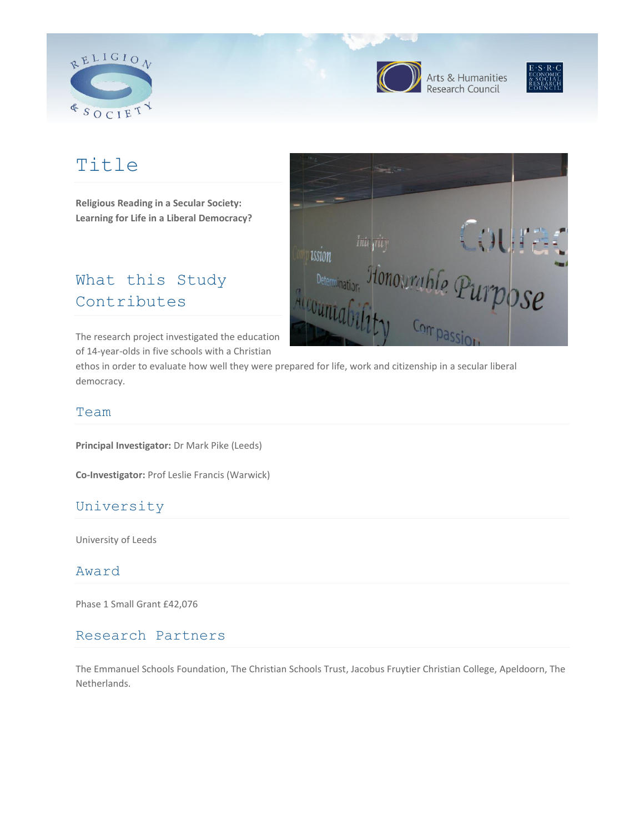



Arts & Humanities<br>Research Council



# Title

**Religious Reading in a Secular Society: Learning for Life in a Liberal Democracy?**

## What this Study Contributes

The research project investigated the education of 14-year-olds in five schools with a Christian



#### Team

democracy.

**Principal Investigator:** Dr Mark Pike (Leeds)

**Co-Investigator:** Prof Leslie Francis (Warwick)

## University

University of Leeds

#### Award

Phase 1 Small Grant £42,076

#### Research Partners

The Emmanuel Schools Foundation, The Christian Schools Trust, Jacobus Fruytier Christian College, Apeldoorn, The Netherlands.